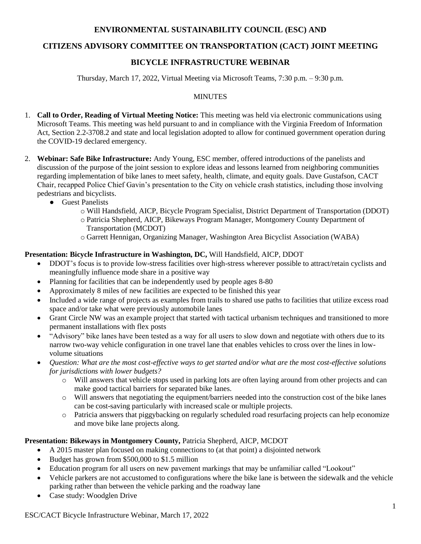# **ENVIRONMENTAL SUSTAINABILITY COUNCIL (ESC) AND**

# **CITIZENS ADVISORY COMMITTEE ON TRANSPORTATION (CACT) JOINT MEETING**

# **BICYCLE INFRASTRUCTURE WEBINAR**

Thursday, March 17, 2022, Virtual Meeting via Microsoft Teams, 7:30 p.m. – 9:30 p.m.

### MINUTES

- 1. **Call to Order, Reading of Virtual Meeting Notice:** This meeting was held via electronic communications using Microsoft Teams. This meeting was held pursuant to and in compliance with the Virginia Freedom of Information Act, Section 2.2-3708.2 and state and local legislation adopted to allow for continued government operation during the COVID-19 declared emergency.
- 2. **Webinar: Safe Bike Infrastructure:** Andy Young, ESC member, offered introductions of the panelists and discussion of the purpose of the joint session to explore ideas and lessons learned from neighboring communities regarding implementation of bike lanes to meet safety, health, climate, and equity goals. Dave Gustafson, CACT Chair, recapped Police Chief Gavin's presentation to the City on vehicle crash statistics, including those involving pedestrians and bicyclists.
	- Guest Panelists
		- o Will Handsfield, AICP, Bicycle Program Specialist, District Department of Transportation (DDOT)
		- o Patricia Shepherd, AICP, Bikeways Program Manager, Montgomery County Department of Transportation (MCDOT)
		- o Garrett Hennigan, Organizing Manager, Washington Area Bicyclist Association (WABA)

# **Presentation: Bicycle Infrastructure in Washington, DC,** Will Handsfield, AICP, DDOT

- DDOT's focus is to provide low-stress facilities over high-stress wherever possible to attract/retain cyclists and meaningfully influence mode share in a positive way
- Planning for facilities that can be independently used by people ages 8-80
- Approximately 8 miles of new facilities are expected to be finished this year
- Included a wide range of projects as examples from trails to shared use paths to facilities that utilize excess road space and/or take what were previously automobile lanes
- Grant Circle NW was an example project that started with tactical urbanism techniques and transitioned to more permanent installations with flex posts
- "Advisory" bike lanes have been tested as a way for all users to slow down and negotiate with others due to its narrow two-way vehicle configuration in one travel lane that enables vehicles to cross over the lines in lowvolume situations
- *Question: What are the most cost-effective ways to get started and/or what are the most cost-effective solutions for jurisdictions with lower budgets?*
	- o Will answers that vehicle stops used in parking lots are often laying around from other projects and can make good tactical barriers for separated bike lanes.
	- o Will answers that negotiating the equipment/barriers needed into the construction cost of the bike lanes can be cost-saving particularly with increased scale or multiple projects.
	- o Patricia answers that piggybacking on regularly scheduled road resurfacing projects can help economize and move bike lane projects along.

# **Presentation: Bikeways in Montgomery County,** Patricia Shepherd, AICP, MCDOT

- A 2015 master plan focused on making connections to (at that point) a disjointed network
- Budget has grown from \$500,000 to \$1.5 million
- Education program for all users on new pavement markings that may be unfamiliar called "Lookout"
- Vehicle parkers are not accustomed to configurations where the bike lane is between the sidewalk and the vehicle parking rather than between the vehicle parking and the roadway lane
- Case study: Woodglen Drive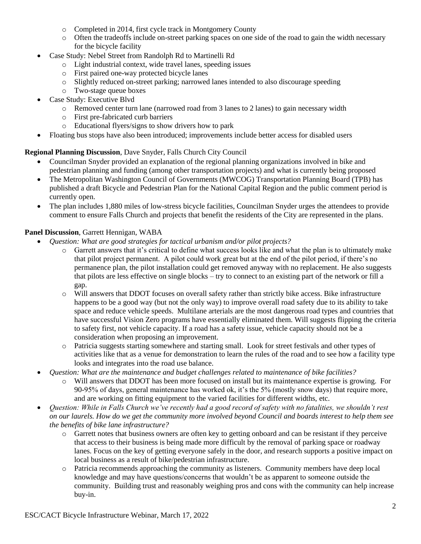- o Completed in 2014, first cycle track in Montgomery County
- o Often the tradeoffs include on-street parking spaces on one side of the road to gain the width necessary for the bicycle facility
- Case Study: Nebel Street from Randolph Rd to Martinelli Rd
	- o Light industrial context, wide travel lanes, speeding issues
	- o First paired one-way protected bicycle lanes
	- o Slightly reduced on-street parking; narrowed lanes intended to also discourage speeding
	- o Two-stage queue boxes
- Case Study: Executive Blvd
	- o Removed center turn lane (narrowed road from 3 lanes to 2 lanes) to gain necessary width
	- o First pre-fabricated curb barriers
	- o Educational flyers/signs to show drivers how to park
- Floating bus stops have also been introduced; improvements include better access for disabled users

#### **Regional Planning Discussion**, Dave Snyder, Falls Church City Council

- Councilman Snyder provided an explanation of the regional planning organizations involved in bike and pedestrian planning and funding (among other transportation projects) and what is currently being proposed
- The Metropolitan Washington Council of Governments (MWCOG) Transportation Planning Board (TPB) has published a draft Bicycle and Pedestrian Plan for the National Capital Region and the public comment period is currently open.
- The plan includes 1,880 miles of low-stress bicycle facilities, Councilman Snyder urges the attendees to provide comment to ensure Falls Church and projects that benefit the residents of the City are represented in the plans.

### **Panel Discussion**, Garrett Hennigan, WABA

- *Question: What are good strategies for tactical urbanism and/or pilot projects?*
	- o Garrett answers that it's critical to define what success looks like and what the plan is to ultimately make that pilot project permanent. A pilot could work great but at the end of the pilot period, if there's no permanence plan, the pilot installation could get removed anyway with no replacement. He also suggests that pilots are less effective on single blocks – try to connect to an existing part of the network or fill a gap.
	- o Will answers that DDOT focuses on overall safety rather than strictly bike access. Bike infrastructure happens to be a good way (but not the only way) to improve overall road safety due to its ability to take space and reduce vehicle speeds. Multilane arterials are the most dangerous road types and countries that have successful Vision Zero programs have essentially eliminated them. Will suggests flipping the criteria to safety first, not vehicle capacity. If a road has a safety issue, vehicle capacity should not be a consideration when proposing an improvement.
	- o Patricia suggests starting somewhere and starting small. Look for street festivals and other types of activities like that as a venue for demonstration to learn the rules of the road and to see how a facility type looks and integrates into the road use balance.
- *Question: What are the maintenance and budget challenges related to maintenance of bike facilities?*
	- Will answers that DDOT has been more focused on install but its maintenance expertise is growing. For 90-95% of days, general maintenance has worked ok, it's the 5% (mostly snow days) that require more, and are working on fitting equipment to the varied facilities for different widths, etc.
- *Question: While in Falls Church we've recently had a good record of safety with no fatalities, we shouldn't rest on our laurels. How do we get the community more involved beyond Council and boards interest to help them see the benefits of bike lane infrastructure?*
	- o Garrett notes that business owners are often key to getting onboard and can be resistant if they perceive that access to their business is being made more difficult by the removal of parking space or roadway lanes. Focus on the key of getting everyone safely in the door, and research supports a positive impact on local business as a result of bike/pedestrian infrastructure.
	- o Patricia recommends approaching the community as listeners. Community members have deep local knowledge and may have questions/concerns that wouldn't be as apparent to someone outside the community. Building trust and reasonably weighing pros and cons with the community can help increase buy-in.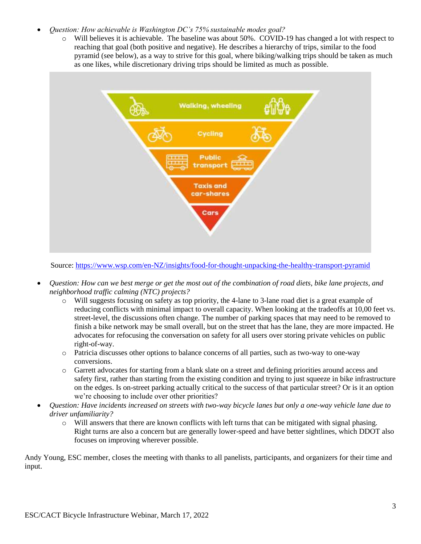### *Question: How achievable is Washington DC's 75% sustainable modes goal?*

o Will believes it is achievable. The baseline was about 50%. COVID-19 has changed a lot with respect to reaching that goal (both positive and negative). He describes a hierarchy of trips, similar to the food pyramid (see below), as a way to strive for this goal, where biking/walking trips should be taken as much as one likes, while discretionary driving trips should be limited as much as possible.



Source:<https://www.wsp.com/en-NZ/insights/food-for-thought-unpacking-the-healthy-transport-pyramid>

- *Question: How can we best merge or get the most out of the combination of road diets, bike lane projects, and neighborhood traffic calming (NTC) projects?*
	- o Will suggests focusing on safety as top priority, the 4-lane to 3-lane road diet is a great example of reducing conflicts with minimal impact to overall capacity. When looking at the tradeoffs at 10,00 feet vs. street-level, the discussions often change. The number of parking spaces that may need to be removed to finish a bike network may be small overall, but on the street that has the lane, they are more impacted. He advocates for refocusing the conversation on safety for all users over storing private vehicles on public right-of-way.
	- o Patricia discusses other options to balance concerns of all parties, such as two-way to one-way conversions.
	- o Garrett advocates for starting from a blank slate on a street and defining priorities around access and safety first, rather than starting from the existing condition and trying to just squeeze in bike infrastructure on the edges. Is on-street parking actually critical to the success of that particular street? Or is it an option we're choosing to include over other priorities?
- *Question: Have incidents increased on streets with two-way bicycle lanes but only a one-way vehicle lane due to driver unfamiliarity?*
	- o Will answers that there are known conflicts with left turns that can be mitigated with signal phasing. Right turns are also a concern but are generally lower-speed and have better sightlines, which DDOT also focuses on improving wherever possible.

Andy Young, ESC member, closes the meeting with thanks to all panelists, participants, and organizers for their time and input.